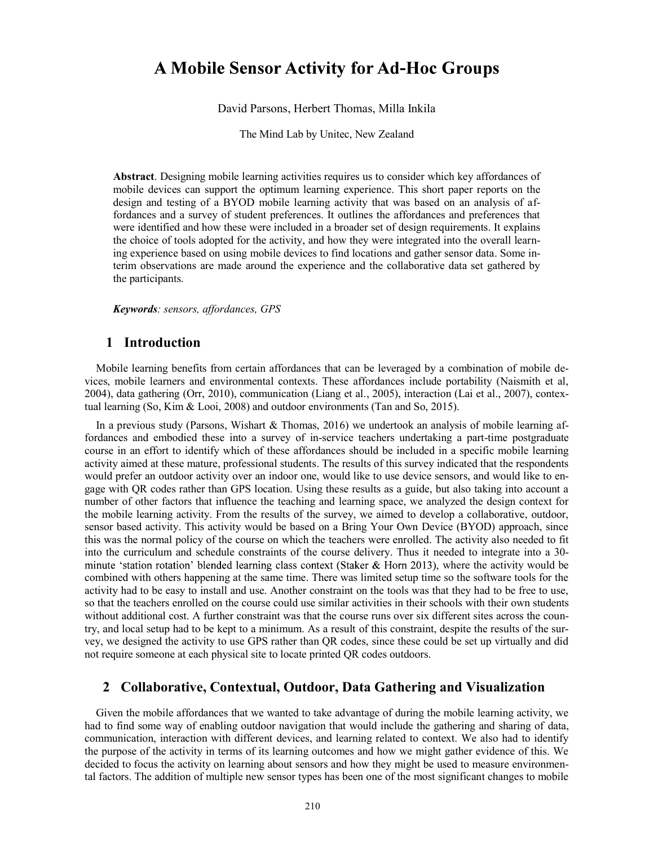# **A Mobile Sensor Activity for Ad-Hoc Groups**

David Parsons, Herbert Thomas, Milla Inkila

The Mind Lab by Unitec, New Zealand

Abstract. Designing mobile learning activities requires us to consider which key affordances of mobile devices can support the optimum learning experience. This short paper reports on the design and testing of a BYOD mobile learning activity that was based on an analysis of affordances and a survey of student preferences. It outlines the affordances and preferences that were identified and how these were included in a broader set of design requirements. It explains the choice of tools adopted for the activity, and how they were integrated into the overall learning experience based on using mobile devices to find locations and gather sensor data. Some interim observations are made around the experience and the collaborative data set gathered by the participants.

Keywords: sensors, affordances, GPS

### 1 Introduction

Mobile learning benefits from certain affordances that can be leveraged by a combination of mobile devices, mobile learners and environmental contexts. These affordances include portability (Naismith et al, 2004), data gathering (Orr, 2010), communication (Liang et al., 2005), interaction (Lai et al., 2007), contextual learning (So, Kim & Looi, 2008) and outdoor environments (Tan and So, 2015).

In a previous study (Parsons, Wishart & Thomas, 2016) we undertook an analysis of mobile learning affordances and embodied these into a survey of in-service teachers undertaking a part-time postgraduate course in an effort to identify which of these affordances should be included in a specific mobile learning activity aimed at these mature, professional students. The results of this survey indicated that the respondents would prefer an outdoor activity over an indoor one, would like to use device sensors, and would like to engage with QR codes rather than GPS location. Using these results as a guide, but also taking into account a number of other factors that influence the teaching and learning space, we analyzed the design context for the mobile learning activity. From the results of the survey, we aimed to develop a collaborative, outdoor, sensor based activity. This activity would be based on a Bring Your Own Device (BYOD) approach, since this was the normal policy of the course on which the teachers were enrolled. The activity also needed to fit into the curriculum and schedule constraints of the course delivery. Thus it needed to integrate into a 30 minute 'station rotation' blended learning class context (Staker & Horn 2013), where the activity would be combined with others happening at the same time. There was limited setup time so the software tools for the activity had to be easy to install and use. Another constraint on the tools was that they had to be free to use, so that the teachers enrolled on the course could use similar activities in their schools with their own students without additional cost. A further constraint was that the course runs over six different sites across the country, and local setup had to be kept to a minimum. As a result of this constraint, despite the results of the survey, we designed the activity to use GPS rather than QR codes, since these could be set up virtually and did not require someone at each physical site to locate printed QR codes outdoors.

### 2 Collaborative, Contextual, Outdoor, Data Gathering and Visualization

Given the mobile affordances that we wanted to take advantage of during the mobile learning activity, we had to find some way of enabling outdoor navigation that would include the gathering and sharing of data, communication, interaction with different devices, and learning related to context. We also had to identify the purpose of the activity in terms of its learning outcomes and how we might gather evidence of this. We decided to focus the activity on learning about sensors and how they might be used to measure environmental factors. The addition of multiple new sensor types has been one of the most significant changes to mobile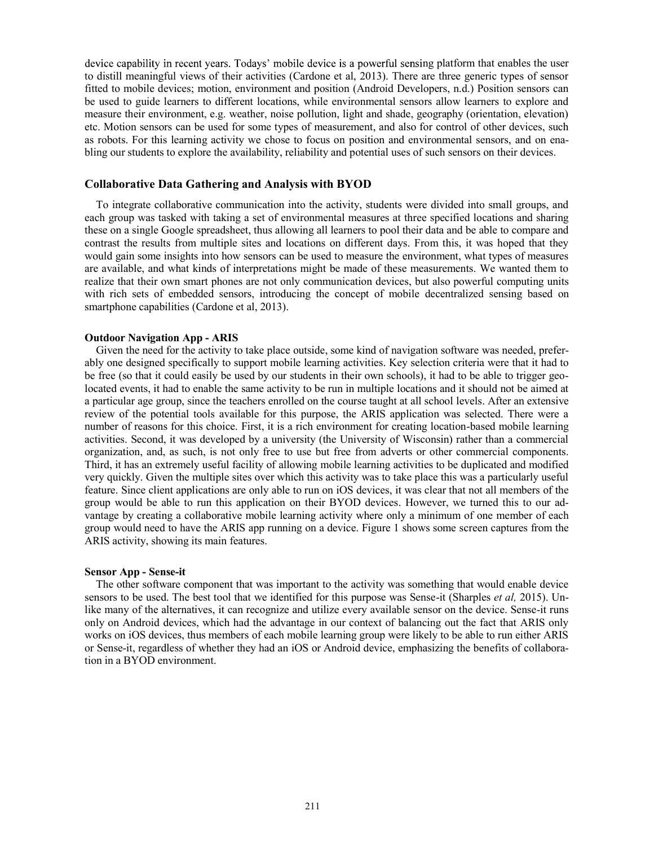device capability in recent years. Todays' mobile device is a powerful sensing platform that enables the user to distill meaningful views of their activities (Cardone et al, 2013). There are three generic types of sensor fitted to mobile devices; motion, environment and position (Android Developers, n.d.) Position sensors can be used to guide learners to different locations, while environmental sensors allow learners to explore and measure their environment, e.g. weather, noise pollution, light and shade, geography (orientation, elevation) etc. Motion sensors can be used for some types of measurement, and also for control of other devices, such as robots. For this learning activity we chose to focus on position and environmental sensors, and on enabling our students to explore the availability, reliability and potential uses of such sensors on their devices.

#### Collaborative Data Gathering and Analysis with BYOD

To integrate collaborative communication into the activity, students were divided into small groups, and each group was tasked with taking a set of environmental measures at three specified locations and sharing these on a single Google spreadsheet, thus allowing all learners to pool their data and be able to compare and contrast the results from multiple sites and locations on different days. From this, it was hoped that they would gain some insights into how sensors can be used to measure the environment, what types of measures are available, and what kinds of interpretations might be made of these measurements. We wanted them to realize that their own smart phones are not only communication devices, but also powerful computing units with rich sets of embedded sensors, introducing the concept of mobile decentralized sensing based on smartphone capabilities (Cardone et al, 2013).

#### Outdoor Navigation App - ARIS

Given the need for the activity to take place outside, some kind of navigation software was needed, preferably one designed specifically to support mobile learning activities. Key selection criteria were that it had to be free (so that it could easily be used by our students in their own schools), it had to be able to trigger geolocated events, it had to enable the same activity to be run in multiple locations and it should not be aimed at a particular age group, since the teachers enrolled on the course taught at all school levels. After an extensive review of the potential tools available for this purpose, the ARIS application was selected. There were a number of reasons for this choice. First, it is a rich environment for creating location-based mobile learning activities. Second, it was developed by a university (the University of Wisconsin) rather than a commercial organization, and, as such, is not only free to use but free from adverts or other commercial components. Third, it has an extremely useful facility of allowing mobile learning activities to be duplicated and modified very quickly. Given the multiple sites over which this activity was to take place this was a particularly useful feature. Since client applications are only able to run on iOS devices, it was clear that not all members of the group would be able to run this application on their BYOD devices. However, we turned this to our advantage by creating a collaborative mobile learning activity where only a minimum of one member of each group would need to have the ARIS app running on a device. Figure 1 shows some screen captures from the ARIS activity, showing its main features.

#### Sensor App - Sense-it

The other software component that was important to the activity was something that would enable device sensors to be used. The best tool that we identified for this purpose was Sense-it (Sharples *et al*, 2015). Unlike many of the alternatives, it can recognize and utilize every available sensor on the device. Sense-it runs only on Android devices, which had the advantage in our context of balancing out the fact that ARIS only works on iOS devices, thus members of each mobile learning group were likely to be able to run either ARIS or Sense-it, regardless of whether they had an iOS or Android device, emphasizing the benefits of collaboration in a BYOD environment.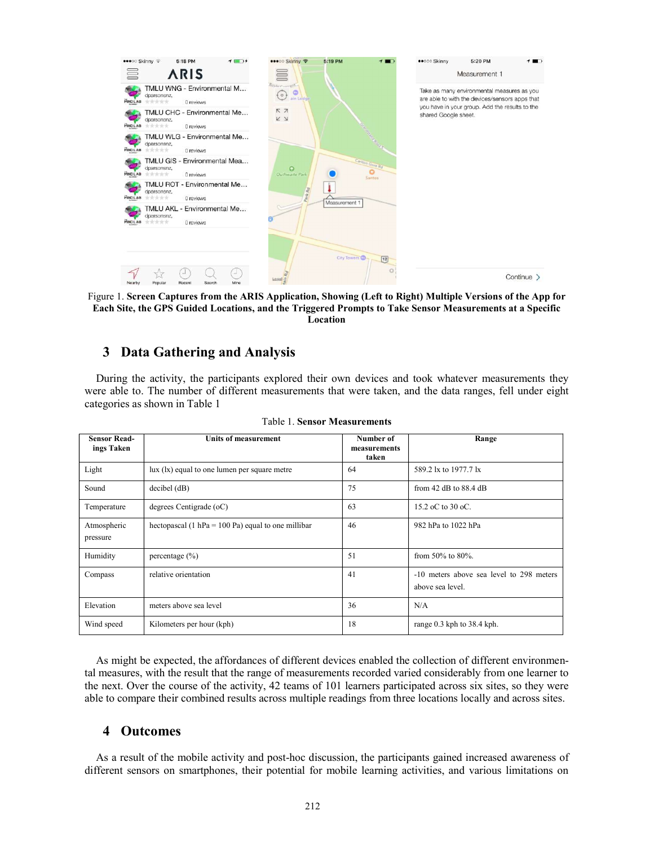

Each Site, the GPS Guided Locations, and the Triggered Prompts to Take Sensor Measurements at a Specific Location

## 3 Data Gathering and Analysis

During the activity, the participants explored their own devices and took whatever measurements they were able to. The number of different measurements that were taken, and the data ranges, fell under eight categories as shown in Table 1

| <b>Sensor Read-</b><br>ings Taken | Units of measurement                                 | Number of<br>measurements<br>taken | Range                                                        |
|-----------------------------------|------------------------------------------------------|------------------------------------|--------------------------------------------------------------|
| Light                             | $lux (lx)$ equal to one lumen per square metre       | 64                                 | 589.2 lx to 1977.7 lx                                        |
| Sound                             | $decibel$ ( $dB$ )                                   | 75                                 | from $42$ dB to $88.4$ dB                                    |
| Temperature                       | degrees Centigrade (oC)                              | 63                                 | 15.2 oC to 30 oC.                                            |
| Atmospheric<br>pressure           | hectopascal (1 hPa = $100$ Pa) equal to one millibar | 46                                 | 982 hPa to 1022 hPa                                          |
| Humidity                          | percentage $(\% )$                                   | 51                                 | from 50% to 80%.                                             |
| Compass                           | relative orientation                                 | 41                                 | -10 meters above sea level to 298 meters<br>above sea level. |
| Elevation                         | meters above sea level                               | 36                                 | N/A                                                          |
| Wind speed                        | Kilometers per hour (kph)                            | 18                                 | range 0.3 kph to 38.4 kph.                                   |

As might be expected, the affordances of different devices enabled the collection of different environmental measures, with the result that the range of measurements recorded varied considerably from one learner to the next. Over the course of the activity, 42 teams of 101 learners participated across six sites, so they were able to compare their combined results across multiple readings from three locations locally and across sites.

### 4 Outcomes

As a result of the mobile activity and post-hoc discussion, the participants gained increased awareness of different sensors on smartphones, their potential for mobile learning activities, and various limitations on